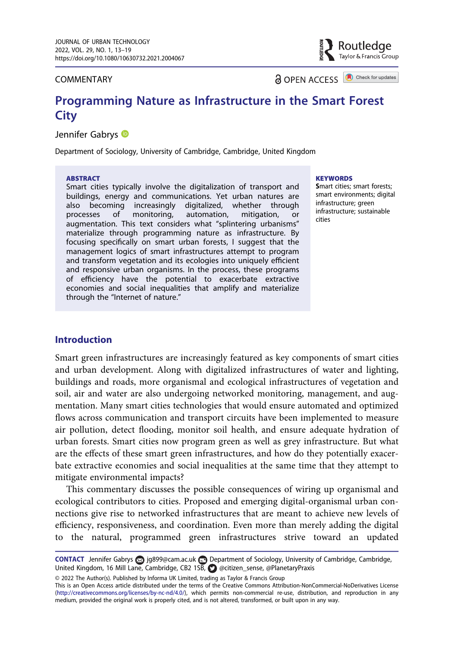COMMENTARY

**a** OPEN ACCESS **a** Check for updates

Routledge Tavlor & Francis Group

# Programming Nature as Infrastructure in the Smart Forest

# **Jennifer Gabrys**

Department of Sociology, University of Cambridge, Cambridge, United Kingdom

#### ABSTRACT

Smart cities typically involve the digitalization of transport and buildings, energy and communications. Yet urban natures are also becoming increasingly digitalized, whether through<br>processes of monitoring, automation, mitigation, or monitoring, automation, mitigation, or augmentation. This text considers what "splintering urbanisms" materialize through programming nature as infrastructure. By focusing specifically on smart urban forests, I suggest that the management logics of smart infrastructures attempt to program and transform vegetation and its ecologies into uniquely efficient and responsive urban organisms. In the process, these programs of efficiency have the potential to exacerbate extractive economies and social inequalities that amplify and materialize through the "Internet of nature."

#### **KEYWORDS**

Smart cities; smart forests; smart environments; digital infrastructure; green infrastructure; sustainable cities

### Introduction

Smart green infrastructures are increasingly featured as key components of smart cities and urban development. Along with digitalized infrastructures of water and lighting, buildings and roads, more organismal and ecological infrastructures of vegetation and soil, air and water are also undergoing networked monitoring, management, and augmentation. Many smart cities technologies that would ensure automated and optimized flows across communication and transport circuits have been implemented to measure air pollution, detect flooding, monitor soil health, and ensure adequate hydration of urban forests. Smart cities now program green as well as grey infrastructure. But what are the effects of these smart green infrastructures, and how do they potentially exacerbate extractive economies and social inequalities at the same time that they attempt to mitigate environmental impacts?

This commentary discusses the possible consequences of wiring up organismal and ecological contributors to cities. Proposed and emerging digital-organismal urban connections give rise to networked infrastructures that are meant to achieve new levels of efficiency, responsiveness, and coordination. Even more than merely adding the digital to the natural, programmed green infrastructures strive toward an updated

© 2022 The Author(s). Published by Informa UK Limited, trading as Taylor & Francis Group

CONTACT Jennifer Gabrys [jg899@cam.ac.uk](mailto:jg899@cam.ac.uk) Department of Sociology, University of Cambridge, Cambridge, United Kingdom, 16 Mill Lane, Cambridge, CB2 1SB, @[@citizen\\_sense](http://twitter.com/share?text=@citizen_sense&url=https://doi.org/10.1080/10630732.2021.2004067), [@PlanetaryPraxis](http://twitter.com/share?text=@PlanetaryPraxis&url=https://doi.org/10.1080/10630732.2021.2004067)

This is an Open Access article distributed under the terms of the Creative Commons Attribution-NonCommercial-NoDerivatives License ([http://creativecommons.org/licenses/by-nc-nd/4.0/\)](http://creativecommons.org/licenses/by-nc-nd/4.0/), which permits non-commercial re-use, distribution, and reproduction in any medium, provided the original work is properly cited, and is not altered, transformed, or built upon in any way.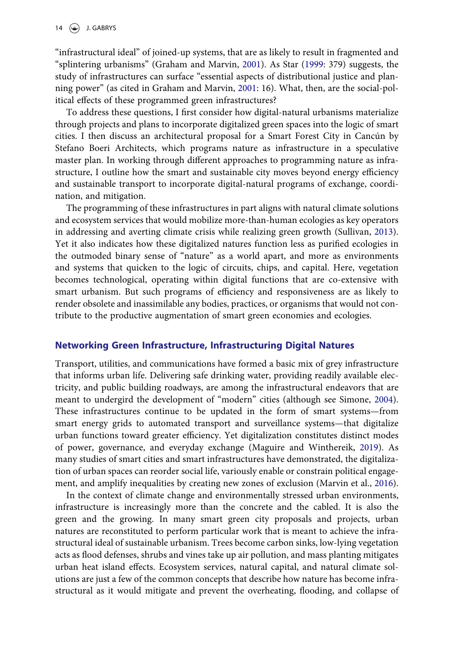<span id="page-1-4"></span><span id="page-1-0"></span>"infrastructural ideal" of joined-up systems, that are as likely to result in fragmented and "splintering urbanisms" (Graham and Marvin, [2001\)](#page-6-0). As Star [\(1999](#page-6-1): 379) suggests, the study of infrastructures can surface "essential aspects of distributional justice and planning power" (as cited in Graham and Marvin, [2001:](#page-6-0) 16). What, then, are the social-political effects of these programmed green infrastructures?

To address these questions, I first consider how digital-natural urbanisms materialize through projects and plans to incorporate digitalized green spaces into the logic of smart cities. I then discuss an architectural proposal for a Smart Forest City in Cancún by Stefano Boeri Architects, which programs nature as infrastructure in a speculative master plan. In working through different approaches to programming nature as infrastructure, I outline how the smart and sustainable city moves beyond energy efficiency and sustainable transport to incorporate digital-natural programs of exchange, coordination, and mitigation.

<span id="page-1-5"></span>The programming of these infrastructures in part aligns with natural climate solutions and ecosystem services that would mobilize more-than-human ecologies as key operators in addressing and averting climate crisis while realizing green growth (Sullivan, [2013](#page-6-2)). Yet it also indicates how these digitalized natures function less as purified ecologies in the outmoded binary sense of "nature" as a world apart, and more as environments and systems that quicken to the logic of circuits, chips, and capital. Here, vegetation becomes technological, operating within digital functions that are co-extensive with smart urbanism. But such programs of efficiency and responsiveness are as likely to render obsolete and inassimilable any bodies, practices, or organisms that would not contribute to the productive augmentation of smart green economies and ecologies.

#### Networking Green Infrastructure, Infrastructuring Digital Natures

<span id="page-1-3"></span>Transport, utilities, and communications have formed a basic mix of grey infrastructure that informs urban life. Delivering safe drinking water, providing readily available electricity, and public building roadways, are among the infrastructural endeavors that are meant to undergird the development of "modern" cities (although see Simone, [2004](#page-6-3)). These infrastructures continue to be updated in the form of smart systems—from smart energy grids to automated transport and surveillance systems—that digitalize urban functions toward greater efficiency. Yet digitalization constitutes distinct modes of power, governance, and everyday exchange (Maguire and Winthereik, [2019](#page-6-4)). As many studies of smart cities and smart infrastructures have demonstrated, the digitalization of urban spaces can reorder social life, variously enable or constrain political engagement, and amplify inequalities by creating new zones of exclusion (Marvin et al., [2016](#page-6-5)).

<span id="page-1-2"></span><span id="page-1-1"></span>In the context of climate change and environmentally stressed urban environments, infrastructure is increasingly more than the concrete and the cabled. It is also the green and the growing. In many smart green city proposals and projects, urban natures are reconstituted to perform particular work that is meant to achieve the infrastructural ideal of sustainable urbanism. Trees become carbon sinks, low-lying vegetation acts as flood defenses, shrubs and vines take up air pollution, and mass planting mitigates urban heat island effects. Ecosystem services, natural capital, and natural climate solutions are just a few of the common concepts that describe how nature has become infrastructural as it would mitigate and prevent the overheating, flooding, and collapse of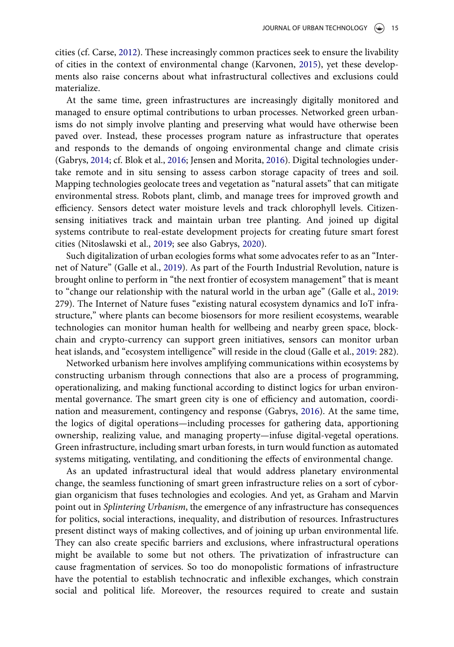<span id="page-2-5"></span><span id="page-2-1"></span>cities (cf. Carse, [2012](#page-6-6)). These increasingly common practices seek to ensure the livability of cities in the context of environmental change (Karvonen, [2015](#page-6-7)), yet these developments also raise concerns about what infrastructural collectives and exclusions could materialize.

<span id="page-2-0"></span>At the same time, green infrastructures are increasingly digitally monitored and managed to ensure optimal contributions to urban processes. Networked green urbanisms do not simply involve planting and preserving what would have otherwise been paved over. Instead, these processes program nature as infrastructure that operates and responds to the demands of ongoing environmental change and climate crisis (Gabrys, [2014;](#page-6-8) cf. Blok et al., [2016](#page-6-9); Jensen and Morita, [2016](#page-6-10)). Digital technologies undertake remote and in situ sensing to assess carbon storage capacity of trees and soil. Mapping technologies geolocate trees and vegetation as "natural assets" that can mitigate environmental stress. Robots plant, climb, and manage trees for improved growth and efficiency. Sensors detect water moisture levels and track chlorophyll levels. Citizensensing initiatives track and maintain urban tree planting. And joined up digital systems contribute to real-estate development projects for creating future smart forest cities (Nitoslawski et al., [2019](#page-6-11); see also Gabrys, [2020\)](#page-6-12).

<span id="page-2-3"></span>Such digitalization of urban ecologies forms what some advocates refer to as an "Internet of Nature" (Galle et al., [2019\)](#page-6-13). As part of the Fourth Industrial Revolution, nature is brought online to perform in "the next frontier of ecosystem management" that is meant to "change our relationship with the natural world in the urban age" (Galle et al., [2019:](#page-6-13) 279). The Internet of Nature fuses "existing natural ecosystem dynamics and IoT infrastructure," where plants can become biosensors for more resilient ecosystems, wearable technologies can monitor human health for wellbeing and nearby green space, blockchain and crypto-currency can support green initiatives, sensors can monitor urban heat islands, and "ecosystem intelligence" will reside in the cloud (Galle et al., [2019](#page-6-13): 282).

<span id="page-2-4"></span><span id="page-2-2"></span>Networked urbanism here involves amplifying communications within ecosystems by constructing urbanism through connections that also are a process of programming, operationalizing, and making functional according to distinct logics for urban environmental governance. The smart green city is one of efficiency and automation, coordination and measurement, contingency and response (Gabrys, [2016](#page-6-14)). At the same time, the logics of digital operations—including processes for gathering data, apportioning ownership, realizing value, and managing property—infuse digital-vegetal operations. Green infrastructure, including smart urban forests, in turn would function as automated systems mitigating, ventilating, and conditioning the effects of environmental change.

As an updated infrastructural ideal that would address planetary environmental change, the seamless functioning of smart green infrastructure relies on a sort of cyborgian organicism that fuses technologies and ecologies. And yet, as Graham and Marvin point out in *Splintering Urbanism*, the emergence of any infrastructure has consequences for politics, social interactions, inequality, and distribution of resources. Infrastructures present distinct ways of making collectives, and of joining up urban environmental life. They can also create specific barriers and exclusions, where infrastructural operations might be available to some but not others. The privatization of infrastructure can cause fragmentation of services. So too do monopolistic formations of infrastructure have the potential to establish technocratic and inflexible exchanges, which constrain social and political life. Moreover, the resources required to create and sustain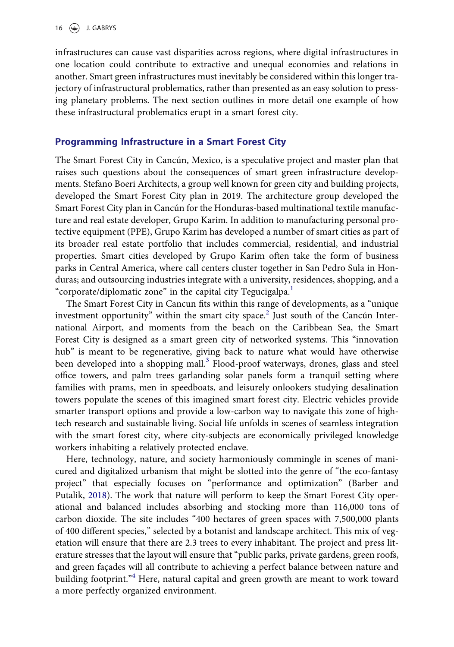infrastructures can cause vast disparities across regions, where digital infrastructures in one location could contribute to extractive and unequal economies and relations in another. Smart green infrastructures must inevitably be considered within this longer trajectory of infrastructural problematics, rather than presented as an easy solution to pressing planetary problems. The next section outlines in more detail one example of how these infrastructural problematics erupt in a smart forest city.

### Programming Infrastructure in a Smart Forest City

The Smart Forest City in Cancún, Mexico, is a speculative project and master plan that raises such questions about the consequences of smart green infrastructure developments. Stefano Boeri Architects, a group well known for green city and building projects, developed the Smart Forest City plan in 2019. The architecture group developed the Smart Forest City plan in Cancún for the Honduras-based multinational textile manufacture and real estate developer, Grupo Karim. In addition to manufacturing personal protective equipment (PPE), Grupo Karim has developed a number of smart cities as part of its broader real estate portfolio that includes commercial, residential, and industrial properties. Smart cities developed by Grupo Karim often take the form of business parks in Central America, where call centers cluster together in San Pedro Sula in Honduras; and outsourcing industries integrate with a university, residences, shopping, and a "corporate/diplomatic zone" in the capital city Tegucigalpa.<sup>[1](#page-5-0)</sup>

The Smart Forest City in Cancun fits within this range of developments, as a "unique investment opportunity" within the smart city space.<sup>[2](#page-5-1)</sup> Just south of the Cancún International Airport, and moments from the beach on the Caribbean Sea, the Smart Forest City is designed as a smart green city of networked systems. This "innovation hub" is meant to be regenerative, giving back to nature what would have otherwise been developed into a shopping mall.<sup>[3](#page-5-2)</sup> Flood-proof waterways, drones, glass and steel office towers, and palm trees garlanding solar panels form a tranquil setting where families with prams, men in speedboats, and leisurely onlookers studying desalination towers populate the scenes of this imagined smart forest city. Electric vehicles provide smarter transport options and provide a low-carbon way to navigate this zone of hightech research and sustainable living. Social life unfolds in scenes of seamless integration with the smart forest city, where city-subjects are economically privileged knowledge workers inhabiting a relatively protected enclave.

<span id="page-3-0"></span>Here, technology, nature, and society harmoniously commingle in scenes of manicured and digitalized urbanism that might be slotted into the genre of "the eco-fantasy project" that especially focuses on "performance and optimization" (Barber and Putalik, [2018\)](#page-6-15). The work that nature will perform to keep the Smart Forest City operational and balanced includes absorbing and stocking more than 116,000 tons of carbon dioxide. The site includes "400 hectares of green spaces with 7,500,000 plants of 400 different species," selected by a botanist and landscape architect. This mix of vegetation will ensure that there are 2.3 trees to every inhabitant. The project and press literature stresses that the layout will ensure that "public parks, private gardens, green roofs, and green façades will all contribute to achieving a perfect balance between nature and building footprint."<sup>[4](#page-5-3)</sup> Here, natural capital and green growth are meant to work toward a more perfectly organized environment.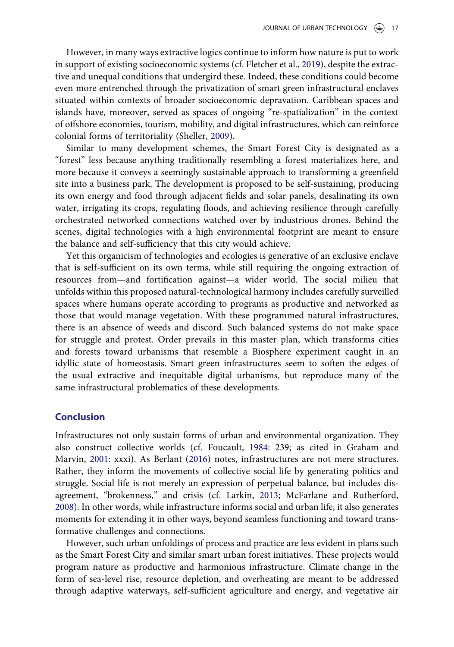<span id="page-4-1"></span>However, in many ways extractive logics continue to inform how nature is put to work in support of existing socioeconomic systems (cf. Fletcher et al., [2019](#page-6-16)), despite the extractive and unequal conditions that undergird these. Indeed, these conditions could become even more entrenched through the privatization of smart green infrastructural enclaves situated within contexts of broader socioeconomic depravation. Caribbean spaces and islands have, moreover, served as spaces of ongoing "re-spatialization" in the context of offshore economies, tourism, mobility, and digital infrastructures, which can reinforce colonial forms of territoriality (Sheller, [2009](#page-6-17)).

<span id="page-4-4"></span>Similar to many development schemes, the Smart Forest City is designated as a "forest" less because anything traditionally resembling a forest materializes here, and more because it conveys a seemingly sustainable approach to transforming a greenfield site into a business park. The development is proposed to be self-sustaining, producing its own energy and food through adjacent fields and solar panels, desalinating its own water, irrigating its crops, regulating floods, and achieving resilience through carefully orchestrated networked connections watched over by industrious drones. Behind the scenes, digital technologies with a high environmental footprint are meant to ensure the balance and self-sufficiency that this city would achieve.

Yet this organicism of technologies and ecologies is generative of an exclusive enclave that is self-sufficient on its own terms, while still requiring the ongoing extraction of resources from—and fortification against—a wider world. The social milieu that unfolds within this proposed natural-technological harmony includes carefully surveilled spaces where humans operate according to programs as productive and networked as those that would manage vegetation. With these programmed natural infrastructures, there is an absence of weeds and discord. Such balanced systems do not make space for struggle and protest. Order prevails in this master plan, which transforms cities and forests toward urbanisms that resemble a Biosphere experiment caught in an idyllic state of homeostasis. Smart green infrastructures seem to soften the edges of the usual extractive and inequitable digital urbanisms, but reproduce many of the same infrastructural problematics of these developments.

#### Conclusion

<span id="page-4-3"></span><span id="page-4-2"></span><span id="page-4-0"></span>Infrastructures not only sustain forms of urban and environmental organization. They also construct collective worlds (cf. Foucault, [1984](#page-6-18): 239; as cited in Graham and Marvin, [2001:](#page-6-0) xxxi). As Berlant [\(2016\)](#page-6-19) notes, infrastructures are not mere structures. Rather, they inform the movements of collective social life by generating politics and struggle. Social life is not merely an expression of perpetual balance, but includes disagreement, "brokenness," and crisis (cf. Larkin, [2013](#page-6-20); McFarlane and Rutherford, [2008](#page-6-21)). In other words, while infrastructure informs social and urban life, it also generates moments for extending it in other ways, beyond seamless functioning and toward transformative challenges and connections.

However, such urban unfoldings of process and practice are less evident in plans such as the Smart Forest City and similar smart urban forest initiatives. These projects would program nature as productive and harmonious infrastructure. Climate change in the form of sea-level rise, resource depletion, and overheating are meant to be addressed through adaptive waterways, self-sufficient agriculture and energy, and vegetative air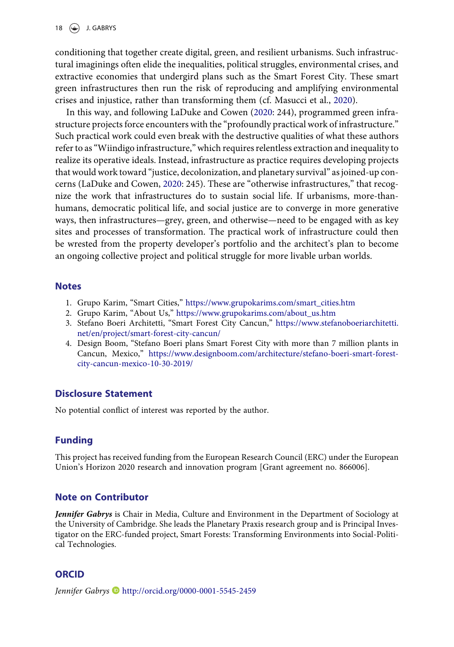18  $\bigodot$  J. GABRYS

conditioning that together create digital, green, and resilient urbanisms. Such infrastructural imaginings often elide the inequalities, political struggles, environmental crises, and extractive economies that undergird plans such as the Smart Forest City. These smart green infrastructures then run the risk of reproducing and amplifying environmental crises and injustice, rather than transforming them (cf. Masucci et al., [2020\)](#page-6-22).

<span id="page-5-5"></span><span id="page-5-4"></span>In this way, and following LaDuke and Cowen ([2020:](#page-6-23) 244), programmed green infrastructure projects force encounters with the "profoundly practical work of infrastructure." Such practical work could even break with the destructive qualities of what these authors refer to as"Wiindigo infrastructure,"which requires relentless extraction and inequality to realize its operative ideals. Instead, infrastructure as practice requires developing projects that would work toward "justice, decolonization, and planetary survival" as joined-up concerns (LaDuke and Cowen, [2020](#page-6-23): 245). These are "otherwise infrastructures," that recognize the work that infrastructures do to sustain social life. If urbanisms, more-thanhumans, democratic political life, and social justice are to converge in more generative ways, then infrastructures—grey, green, and otherwise—need to be engaged with as key sites and processes of transformation. The practical work of infrastructure could then be wrested from the property developer's portfolio and the architect's plan to become an ongoing collective project and political struggle for more livable urban worlds.

#### <span id="page-5-0"></span>**Notes**

- <span id="page-5-1"></span>1. Grupo Karim, "Smart Cities," [https://www.grupokarims.com/smart\\_cities.htm](https://www.grupokarims.com/smart_cities.htm)
- <span id="page-5-2"></span>2. Grupo Karim, "About Us," [https://www.grupokarims.com/about\\_us.htm](https://www.grupokarims.com/about_us.htm)
- 3. Stefano Boeri Architetti, "Smart Forest City Cancun," [https://www.stefanoboeriarchitetti.](https://www.stefanoboeriarchitetti.net/en/project/smart-forest-city-cancun/) [net/en/project/smart-forest-city-cancun/](https://www.stefanoboeriarchitetti.net/en/project/smart-forest-city-cancun/)
- <span id="page-5-3"></span>4. Design Boom, "Stefano Boeri plans Smart Forest City with more than 7 million plants in Cancun, Mexico," [https://www.designboom.com/architecture/stefano-boeri-smart-forest](https://www.designboom.com/architecture/stefano-boeri-smart-forest-city-cancun-mexico-10-30-2019/)[city-cancun-mexico-10-30-2019/](https://www.designboom.com/architecture/stefano-boeri-smart-forest-city-cancun-mexico-10-30-2019/)

#### Disclosure Statement

No potential conflict of interest was reported by the author.

#### Funding

This project has received funding from the European Research Council (ERC) under the European Union's Horizon 2020 research and innovation program [Grant agreement no. 866006].

#### Note on Contributor

Jennifer Gabrys is Chair in Media, Culture and Environment in the Department of Sociology at the University of Cambridge. She leads the Planetary Praxis research group and is Principal Investigator on the ERC-funded project, Smart Forests: Transforming Environments into Social-Political Technologies.

#### **ORCID**

Jennifer Gabrys <http://orcid.org/0000-0001-5545-2459>